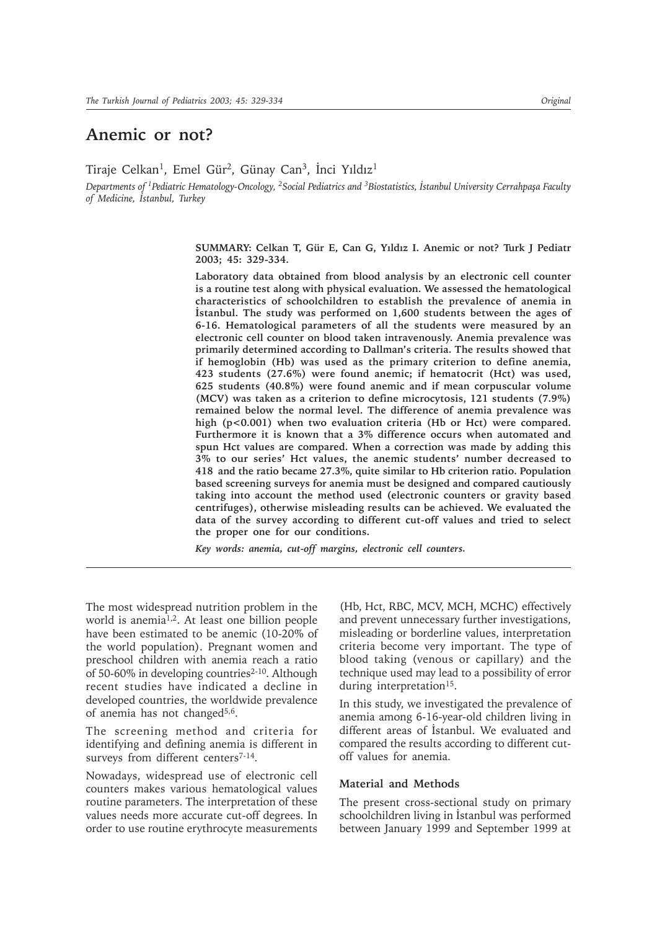# **Anemic or not?**

Tiraje Celkan<sup>1</sup>, Emel Gür<sup>2</sup>, Günay Can<sup>3</sup>, İnci Yıldız<sup>1</sup>

*Departments of <sup>1</sup>Pediatric Hematology-Oncology, <sup>2</sup>Social Pediatrics and <sup>3</sup>Biostatistics, <i>Istanbul University Cerrahpaşa Faculty of Medicine, Ýstanbul, Turkey*

> SUMMARY: Celkan T, Gür E, Can G, Yıldız I. Anemic or not? Turk J Pediatr **2003; 45: 329-334.**

> **Laboratory data obtained from blood analysis by an electronic cell counter is a routine test along with physical evaluation. We assessed the hematological characteristics of schoolchildren to establish the prevalence of anemia in** İstanbul. The study was performed on 1,600 students between the ages of **6-16. Hematological parameters of all the students were measured by an electronic cell counter on blood taken intravenously. Anemia prevalence was primarily determined according to Dallman's criteria. The results showed that if hemoglobin (Hb) was used as the primary criterion to define anemia, 423 students (27.6%) were found anemic; if hematocrit (Hct) was used, 625 students (40.8%) were found anemic and if mean corpuscular volume (MCV) was taken as a criterion to define microcytosis, 121 students (7.9%) remained below the normal level. The difference of anemia prevalence was high (p<0.001) when two evaluation criteria (Hb or Hct) were compared. Furthermore it is known that a 3% difference occurs when automated and spun Hct values are compared. When a correction was made by adding this 3% to our series' Hct values, the anemic students' number decreased to 418 and the ratio became 27.3%, quite similar to Hb criterion ratio. Population based screening surveys for anemia must be designed and compared cautiously taking into account the method used (electronic counters or gravity based centrifuges), otherwise misleading results can be achieved. We evaluated the data of the survey according to different cut-off values and tried to select the proper one for our conditions.**

*Key words: anemia, cut-off margins, electronic cell counters.*

The most widespread nutrition problem in the world is anemia1,2. At least one billion people have been estimated to be anemic (10-20% of the world population). Pregnant women and preschool children with anemia reach a ratio of 50-60% in developing countries<sup>2-10</sup>. Although recent studies have indicated a decline in developed countries, the worldwide prevalence of anemia has not changed $5,6$ .

The screening method and criteria for identifying and defining anemia is different in surveys from different centers<sup>7-14</sup>.

Nowadays, widespread use of electronic cell counters makes various hematological values routine parameters. The interpretation of these values needs more accurate cut-off degrees. In order to use routine erythrocyte measurements

(Hb, Hct, RBC, MCV, MCH, MCHC) effectively and prevent unnecessary further investigations, misleading or borderline values, interpretation criteria become very important. The type of blood taking (venous or capillary) and the technique used may lead to a possibility of error during interpretation<sup>15</sup>.

In this study, we investigated the prevalence of anemia among 6-16-year-old children living in different areas of Istanbul. We evaluated and compared the results according to different cutoff values for anemia.

### **Material and Methods**

The present cross-sectional study on primary schoolchildren living in İstanbul was performed between January 1999 and September 1999 at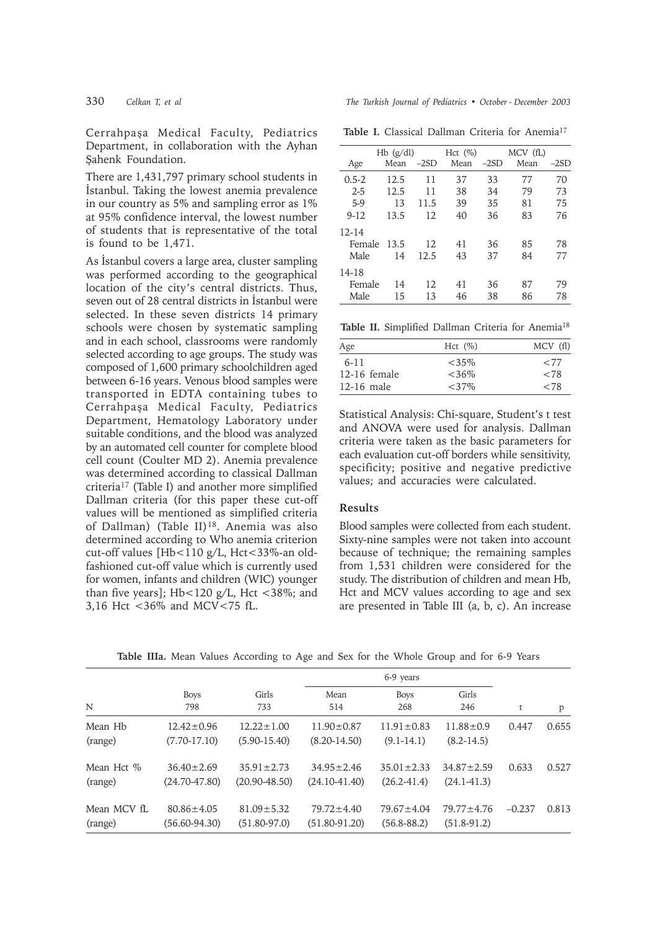Cerrahpasa Medical Faculty, Pediatrics Department, in collaboration with the Ayhan Şahenk Foundation.

There are 1,431,797 primary school students in İstanbul. Taking the lowest anemia prevalence in our country as 5% and sampling error as 1% at 95% confidence interval, the lowest number of students that is representative of the total is found to be 1,471.

As Istanbul covers a large area, cluster sampling was performed according to the geographical location of the city's central districts. Thus, seven out of 28 central districts in Istanbul were selected. In these seven districts 14 primary schools were chosen by systematic sampling and in each school, classrooms were randomly selected according to age groups. The study was composed of 1,600 primary schoolchildren aged between 6-16 years. Venous blood samples were transported in EDTA containing tubes to Cerrahpaşa Medical Faculty, Pediatrics Department, Hematology Laboratory under suitable conditions, and the blood was analyzed by an automated cell counter for complete blood cell count (Coulter MD 2). Anemia prevalence was determined according to classical Dallman criteria17 (Table I) and another more simplified Dallman criteria (for this paper these cut-off values will be mentioned as simplified criteria of Dallman) (Table II)18. Anemia was also determined according to Who anemia criterion cut-off values [Hb<110 g/L, Hct<33%-an oldfashioned cut-off value which is currently used for women, infants and children (WIC) younger than five years]; Hb<120 g/L, Hct <38%; and 3,16 Hct <36% and MCV<75 fL.

330 *Celkan T, et al The Turkish Journal of Pediatrics • October - December 2003*

Table I. Classical Dallman Criteria for Anemia<sup>17</sup>

|           | $Hb$ (g/dl) |        | Hct $(\%)$ |        | MCV (fL) |        |  |
|-----------|-------------|--------|------------|--------|----------|--------|--|
| Age       | Mean        | $-2SD$ | Mean       | $-2SD$ | Mean     | $-2SD$ |  |
| $0.5 - 2$ | 12.5        | 11     | 37         | 33     | 77       | 70     |  |
| $2 - 5$   | 12.5        | 11     | 38         | 34     | 79       | 73     |  |
| $5-9$     | 13          | 11.5   | 39         | 35     | 81       | 75     |  |
| $9 - 12$  | 13.5        | 12     | 40         | 36     | 83       | 76     |  |
| $12 - 14$ |             |        |            |        |          |        |  |
| Female    | 13.5        | 12     | 41         | 36     | 85       | 78     |  |
| Male      | 14          | 12.5   | 43         | 37     | 84       | 77     |  |
| 14-18     |             |        |            |        |          |        |  |
| Female    | 14          | 12     | 41         | 36     | 87       | 79     |  |
| Male      | 15          | 13     | 46         | 38     | 86       | 78     |  |

Table II. Simplified Dallman Criteria for Anemia<sup>18</sup>

| Age            | Hct $(\%)$ | MCV (fl) |
|----------------|------------|----------|
| $6 - 11$       | $<35\%$    | ${<}77$  |
| $12-16$ female | $<36\%$    | ${<}78$  |
| $12-16$ male   | $<37\%$    | ${<}78$  |

Statistical Analysis: Chi-square, Student's t test and ANOVA were used for analysis. Dallman criteria were taken as the basic parameters for each evaluation cut-off borders while sensitivity, specificity; positive and negative predictive values; and accuracies were calculated.

#### **Results**

Blood samples were collected from each student. Sixty-nine samples were not taken into account because of technique; the remaining samples from 1,531 children were considered for the study. The distribution of children and mean Hb, Hct and MCV values according to age and sex are presented in Table III (a, b, c). An increase

| N           | <b>Boys</b><br>798 | Girls<br>733      | Mean<br>514       | <b>Boys</b><br>268 | Girls<br>246     | t        | P     |
|-------------|--------------------|-------------------|-------------------|--------------------|------------------|----------|-------|
| Mean Hb     | $12.42 \pm 0.96$   | $12.22 \pm 1.00$  | $11.90 \pm 0.87$  | $11.91 \pm 0.83$   | $11.88 \pm 0.9$  | 0.447    | 0.655 |
| (range)     | $(7.70 - 17.10)$   | $(5.90 - 15.40)$  | $(8.20 - 14.50)$  | $(9.1 - 14.1)$     | $(8.2 - 14.5)$   |          |       |
| Mean Hct %  | $36.40 \pm 2.69$   | $35.91 \pm 2.73$  | $34.95 \pm 2.46$  | $35.01 \pm 2.33$   | $34.87 \pm 2.59$ | 0.633    | 0.527 |
| (range)     | $(24.70 - 47.80)$  | $(20.90 - 48.50)$ | $(24.10 - 41.40)$ | $(26.2 - 41.4)$    | $(24.1 - 41.3)$  |          |       |
| Mean MCV fL | $80.86 \pm 4.05$   | $81.09 \pm 5.32$  | $79.72 \pm 4.40$  | $79.67 \pm 4.04$   | $79.77 \pm 4.76$ | $-0.237$ | 0.813 |
| (range)     | $(56.60 - 94.30)$  | $(51.80 - 97.0)$  | $(51.80 - 91.20)$ | $(56.8 - 88.2)$    | $(51.8-91.2)$    |          |       |

**Table IIIa.** Mean Values According to Age and Sex for the Whole Group and for 6-9 Years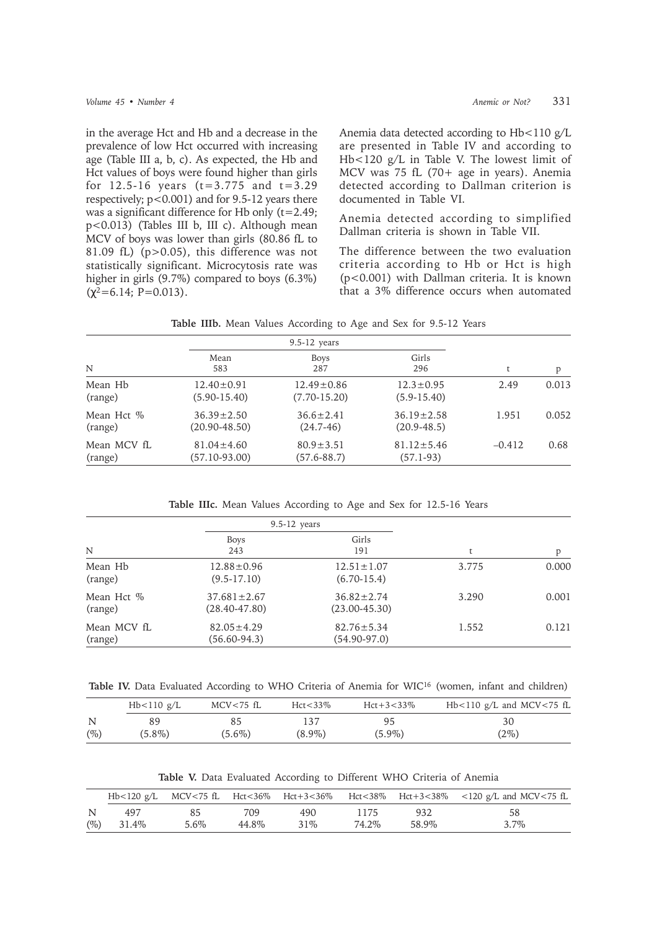in the average Hct and Hb and a decrease in the prevalence of low Hct occurred with increasing age (Table III a, b, c). As expected, the Hb and Hct values of boys were found higher than girls for  $12.5-16$  years  $(t=3.775$  and  $t=3.29$ respectively; p<0.001) and for 9.5-12 years there was a significant difference for Hb only (t=2.49; p<0.013) (Tables III b, III c). Although mean MCV of boys was lower than girls (80.86 fL to 81.09 fL) (p>0.05), this difference was not statistically significant. Microcytosis rate was higher in girls (9.7%) compared to boys (6.3%)  $(\gamma^2=6.14; P=0.013)$ .

Anemia data detected according to Hb<110 g/L are presented in Table IV and according to Hb<120 g/L in Table V. The lowest limit of MCV was 75 fL (70+ age in years). Anemia detected according to Dallman criterion is documented in Table VI.

Anemia detected according to simplified Dallman criteria is shown in Table VII.

The difference between the two evaluation criteria according to Hb or Hct is high (p<0.001) with Dallman criteria. It is known that a 3% difference occurs when automated

|  | Table IIIb. Mean Values According to Age and Sex for 9.5-12 Years |
|--|-------------------------------------------------------------------|
|--|-------------------------------------------------------------------|

|                        |                                       | $9.5-12$ years                       |                                     |          |       |  |
|------------------------|---------------------------------------|--------------------------------------|-------------------------------------|----------|-------|--|
| N                      | Mean<br>583                           | <b>Boys</b><br>287                   | Girls<br>296                        | t        | p     |  |
| Mean Hb<br>(range)     | $12.40 \pm 0.91$<br>$(5.90 - 15.40)$  | $12.49 \pm 0.86$<br>$(7.70 - 15.20)$ | $12.3 \pm 0.95$<br>$(5.9 - 15.40)$  | 2.49     | 0.013 |  |
| Mean Hct \%<br>(range) | $36.39 \pm 2.50$<br>$(20.90 - 48.50)$ | $36.6 \pm 2.41$<br>$(24.7-46)$       | $36.19 \pm 2.58$<br>$(20.9 - 48.5)$ | 1.951    | 0.052 |  |
| Mean MCV fL<br>(range) | $81.04 \pm 4.60$<br>$(57.10 - 93.00)$ | $80.9 \pm 3.51$<br>$(57.6 - 88.7)$   | $81.12 \pm 5.46$<br>$(57.1-93)$     | $-0.412$ | 0.68  |  |

**Table IIIc.** Mean Values According to Age and Sex for 12.5-16 Years

|                        | $9.5 - 12$ years                       |                                       |       |       |
|------------------------|----------------------------------------|---------------------------------------|-------|-------|
| N                      | <b>Boys</b><br>243                     | Girls<br>191                          |       | p     |
| Mean Hb<br>(range)     | $12.88 \pm 0.96$<br>$(9.5-17.10)$      | $12.51 \pm 1.07$<br>$(6.70-15.4)$     | 3.775 | 0.000 |
| Mean Hct %<br>(range)  | $37.681 \pm 2.67$<br>$(28.40 - 47.80)$ | $36.82 \pm 2.74$<br>$(23.00 - 45.30)$ | 3.290 | 0.001 |
| Mean MCV fL<br>(range) | $82.05 \pm 4.29$<br>$(56.60 - 94.3)$   | $82.76 \pm 5.34$<br>$(54.90-97.0)$    | 1.552 | 0.121 |

Table IV. Data Evaluated According to WHO Criteria of Anemia for WIC<sup>16</sup> (women, infant and children)

|        | Hb<110 g/L | MCV<75 fL | $Hct < 33\%$ | $Hct + 3 < 33\%$ | Hb $<$ 110 g/L and MCV $<$ 75 fL |
|--------|------------|-----------|--------------|------------------|----------------------------------|
| N      |            |           | 137          | 95               | 30                               |
| $(\%)$ | $(5.8\%)$  | $(5.6\%)$ | $(8.9\%)$    | $(5.9\%)$        | $(2\%)$                          |

**Table V.** Data Evaluated According to Different WHO Criteria of Anemia

|        |       |      |       |        |       |       | Hb<120 g/L MCV<75 fL Hct<36% Hct+3<36% Hct<38% Hct+3<38% <120 g/L and MCV<75 fL |
|--------|-------|------|-------|--------|-------|-------|---------------------------------------------------------------------------------|
| N      | 497   |      | 709   | 490    | 1175  | 932   | 58                                                                              |
| $(\%)$ | 31.4% | 5.6% | 44.8% | $31\%$ | 74.2% | 58.9% | $3.7\%$                                                                         |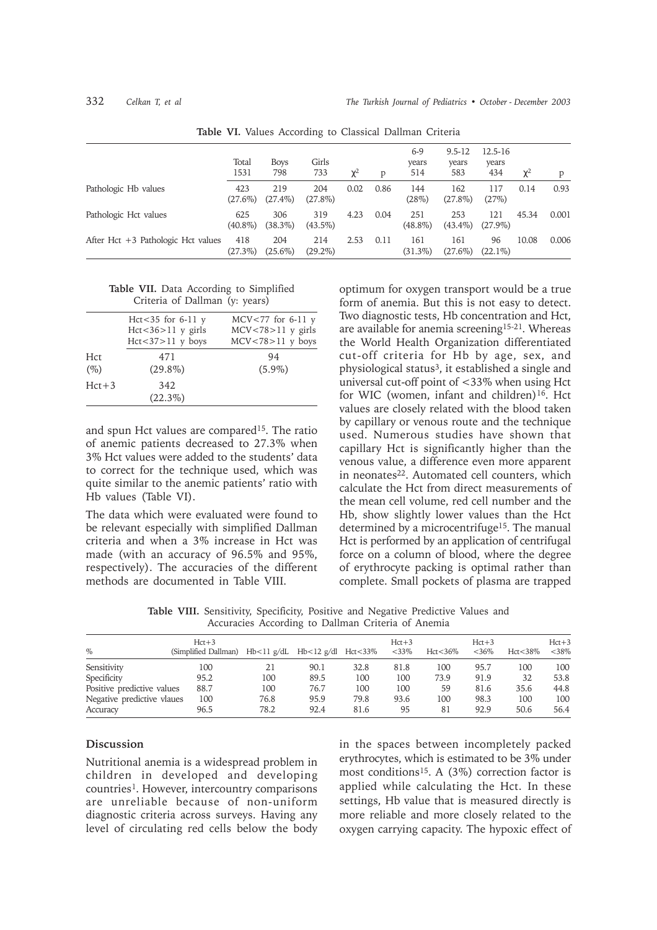|                                      | Total<br>1531     | <b>Boys</b><br>798 | Girls<br>733      | $\chi^2$ | D    | $6-9$<br>years<br>514 | $9.5 - 12$<br>years<br>583 | $12.5 - 16$<br>years<br>434 | $\chi^2$ | D     |
|--------------------------------------|-------------------|--------------------|-------------------|----------|------|-----------------------|----------------------------|-----------------------------|----------|-------|
| Pathologic Hb values                 | 423<br>$(27.6\%)$ | 219<br>$(27.4\%)$  | 204<br>$(27.8\%)$ | 0.02     | 0.86 | 144<br>(28%)          | 162<br>$(27.8\%)$          | 117<br>(27%)                | 0.14     | 0.93  |
| Pathologic Hct values                | 625<br>$(40.8\%)$ | 306<br>$(38.3\%)$  | 319<br>$(43.5\%)$ | 4.23     | 0.04 | 251<br>$(48.8\%)$     | 253<br>$(43.4\%)$          | 121<br>$(27.9\%)$           | 45.34    | 0.001 |
| After Hct $+3$ Pathologic Hct values | 418<br>$(27.3\%)$ | 204<br>$(25.6\%)$  | 214<br>$(29.2\%)$ | 2.53     | 0.11 | 161<br>$(31.3\%)$     | 161<br>$(27.6\%)$          | 96<br>$(22.1\%)$            | 10.08    | 0.006 |

**Table VI.** Values According to Classical Dallman Criteria

**Table VII.** Data According to Simplified Criteria of Dallman (y: years)

| Hct $<$ 35 for 6-11 y   | $MCV < 77$ for 6-11 y   |
|-------------------------|-------------------------|
| $Hct < 36 > 11$ y girls | $MCV < 78 > 11$ y girls |
| $Hct < 37 > 11$ y boys  | $MCV < 78 > 11$ y boys  |
| 471                     | 94                      |
| $(29.8\%)$              | $(5.9\%)$               |
| 342                     |                         |
| $(22.3\%)$              |                         |
|                         |                         |

and spun Hct values are compared<sup>15</sup>. The ratio of anemic patients decreased to 27.3% when 3% Hct values were added to the students' data to correct for the technique used, which was quite similar to the anemic patients' ratio with Hb values (Table VI).

The data which were evaluated were found to be relevant especially with simplified Dallman criteria and when a 3% increase in Hct was made (with an accuracy of 96.5% and 95%, respectively). The accuracies of the different methods are documented in Table VIII.

optimum for oxygen transport would be a true form of anemia. But this is not easy to detect. Two diagnostic tests, Hb concentration and Hct, are available for anemia screening15-21. Whereas the World Health Organization differentiated cut-off criteria for Hb by age, sex, and physiological status3, it established a single and universal cut-off point of <33% when using Hct for WIC (women, infant and children)<sup>16</sup>. Hct values are closely related with the blood taken by capillary or venous route and the technique used. Numerous studies have shown that capillary Hct is significantly higher than the venous value, a difference even more apparent in neonates<sup>22</sup>. Automated cell counters, which calculate the Hct from direct measurements of the mean cell volume, red cell number and the Hb, show slightly lower values than the Hct determined by a microcentrifuge<sup>15</sup>. The manual Hct is performed by an application of centrifugal force on a column of blood, where the degree of erythrocyte packing is optimal rather than complete. Small pockets of plasma are trapped

**Table VIII.** Sensitivity, Specificity, Positive and Negative Predictive Values and Accuracies According to Dallman Criteria of Anemia

| $\%$                       | $Hct+3$<br>(Simplified Dallman) | Hb<11 g/dL Hb<12 g/dl Hct<33% |      |      | $Hct+3$<br>$<$ 33\% | $Hct < 36\%$ | $Hct+3$<br>$<36\%$ | $Hct < 38\%$ | $Hct+3$<br>$<$ 38% |
|----------------------------|---------------------------------|-------------------------------|------|------|---------------------|--------------|--------------------|--------------|--------------------|
| Sensitivity                | 100                             | 21                            | 90.1 | 32.8 | 81.8                | 100          | 95.7               | 100          | 100                |
| Specificity                | 95.2                            | 100                           | 89.5 | 100  | 100                 | 73.9         | 91.9               | 32           | 53.8               |
| Positive predictive values | 88.7                            | 100                           | 76.7 | 100  | 100                 | 59           | 81.6               | 35.6         | 44.8               |
| Negative predictive vlaues | 100                             | 76.8                          | 95.9 | 79.8 | 93.6                | 100          | 98.3               | 100          | 100                |
| Accuracy                   | 96.5                            | 78.2                          | 92.4 | 81.6 | 95                  | 81           | 92.9               | 50.6         | 56.4               |

## **Discussion**

Nutritional anemia is a widespread problem in children in developed and developing countries<sup>1</sup>. However, intercountry comparisons are unreliable because of non-uniform diagnostic criteria across surveys. Having any level of circulating red cells below the body in the spaces between incompletely packed erythrocytes, which is estimated to be 3% under most conditions<sup>15</sup>. A  $(3\%)$  correction factor is applied while calculating the Hct. In these settings, Hb value that is measured directly is more reliable and more closely related to the oxygen carrying capacity. The hypoxic effect of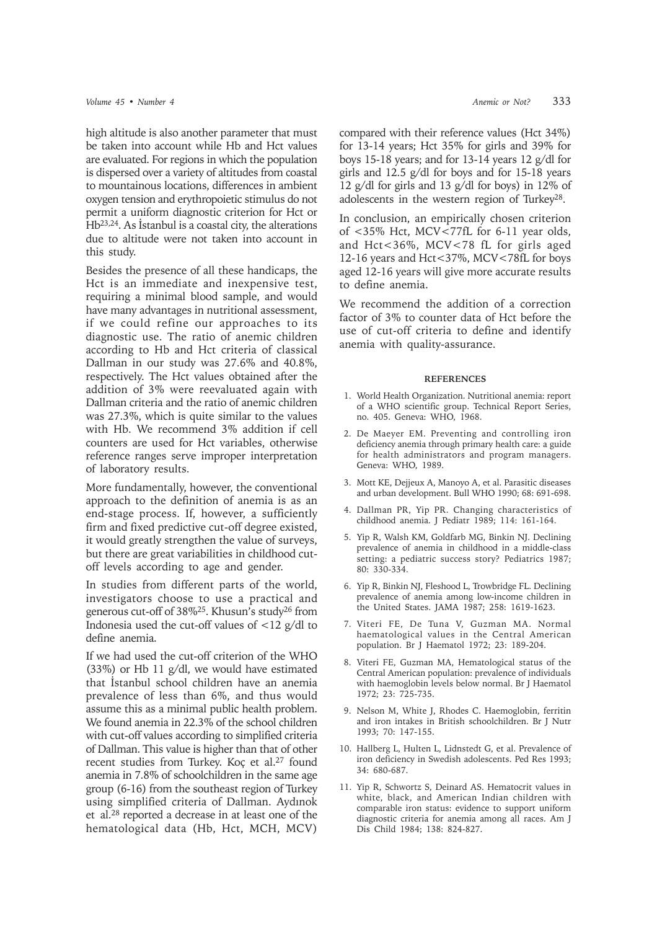high altitude is also another parameter that must be taken into account while Hb and Hct values are evaluated. For regions in which the population is dispersed over a variety of altitudes from coastal to mountainous locations, differences in ambient oxygen tension and erythropoietic stimulus do not permit a uniform diagnostic criterion for Hct or  $Hb^{23,24}$ . As İstanbul is a coastal city, the alterations due to altitude were not taken into account in this study.

Besides the presence of all these handicaps, the Hct is an immediate and inexpensive test, requiring a minimal blood sample, and would have many advantages in nutritional assessment, if we could refine our approaches to its diagnostic use. The ratio of anemic children according to Hb and Hct criteria of classical Dallman in our study was 27.6% and 40.8%, respectively. The Hct values obtained after the addition of 3% were reevaluated again with Dallman criteria and the ratio of anemic children was 27.3%, which is quite similar to the values with Hb. We recommend 3% addition if cell counters are used for Hct variables, otherwise reference ranges serve improper interpretation of laboratory results.

More fundamentally, however, the conventional approach to the definition of anemia is as an end-stage process. If, however, a sufficiently firm and fixed predictive cut-off degree existed, it would greatly strengthen the value of surveys, but there are great variabilities in childhood cutoff levels according to age and gender.

In studies from different parts of the world, investigators choose to use a practical and generous cut-off of 38%25. Khusun's study26 from Indonesia used the cut-off values of  $\langle 12 \text{ g/d} \rangle$  to define anemia.

If we had used the cut-off criterion of the WHO (33%) or Hb 11 g/dl, we would have estimated that İstanbul school children have an anemia prevalence of less than 6%, and thus would assume this as a minimal public health problem. We found anemia in 22.3% of the school children with cut-off values according to simplified criteria of Dallman. This value is higher than that of other recent studies from Turkey. Koç et al.27 found anemia in 7.8% of schoolchildren in the same age group (6-16) from the southeast region of Turkey using simplified criteria of Dallman. Aydınok et al.28 reported a decrease in at least one of the hematological data (Hb, Hct, MCH, MCV)

compared with their reference values (Hct 34%) for 13-14 years; Hct 35% for girls and 39% for boys 15-18 years; and for 13-14 years 12 g/dl for girls and 12.5 g/dl for boys and for 15-18 years 12 g/dl for girls and 13 g/dl for boys) in 12% of adolescents in the western region of Turkey28.

In conclusion, an empirically chosen criterion of <35% Hct, MCV<77fL for 6-11 year olds, and Hct<36%, MCV<78 fL for girls aged 12-16 years and Hct<37%, MCV<78fL for boys aged 12-16 years will give more accurate results to define anemia.

We recommend the addition of a correction factor of 3% to counter data of Hct before the use of cut-off criteria to define and identify anemia with quality-assurance.

#### **REFERENCES**

- 1. World Health Organization. Nutritional anemia: report of a WHO scientific group. Technical Report Series, no. 405. Geneva: WHO, 1968.
- 2. De Maeyer EM. Preventing and controlling iron deficiency anemia through primary health care: a guide for health administrators and program managers. Geneva: WHO, 1989.
- 3. Mott KE, Dejjeux A, Manoyo A, et al. Parasitic diseases and urban development. Bull WHO 1990; 68: 691-698.
- 4. Dallman PR, Yip PR. Changing characteristics of childhood anemia. J Pediatr 1989; 114: 161-164.
- 5. Yip R, Walsh KM, Goldfarb MG, Binkin NJ. Declining prevalence of anemia in childhood in a middle-class setting: a pediatric success story? Pediatrics 1987; 80: 330-334.
- 6. Yip R, Binkin NJ, Fleshood L, Trowbridge FL. Declining prevalence of anemia among low-income children in the United States. JAMA 1987; 258: 1619-1623.
- 7. Viteri FE, De Tuna V, Guzman MA. Normal haematological values in the Central American population. Br J Haematol 1972; 23: 189-204.
- 8. Viteri FE, Guzman MA, Hematological status of the Central American population: prevalence of individuals with haemoglobin levels below normal. Br J Haematol 1972; 23: 725-735.
- 9. Nelson M, White J, Rhodes C. Haemoglobin, ferritin and iron intakes in British schoolchildren. Br J Nutr 1993; 70: 147-155.
- 10. Hallberg L, Hulten L, Lidnstedt G, et al. Prevalence of iron deficiency in Swedish adolescents. Ped Res 1993; 34: 680-687.
- 11. Yip R, Schwortz S, Deinard AS. Hematocrit values in white, black, and American Indian children with comparable iron status: evidence to support uniform diagnostic criteria for anemia among all races. Am J Dis Child 1984; 138: 824-827.